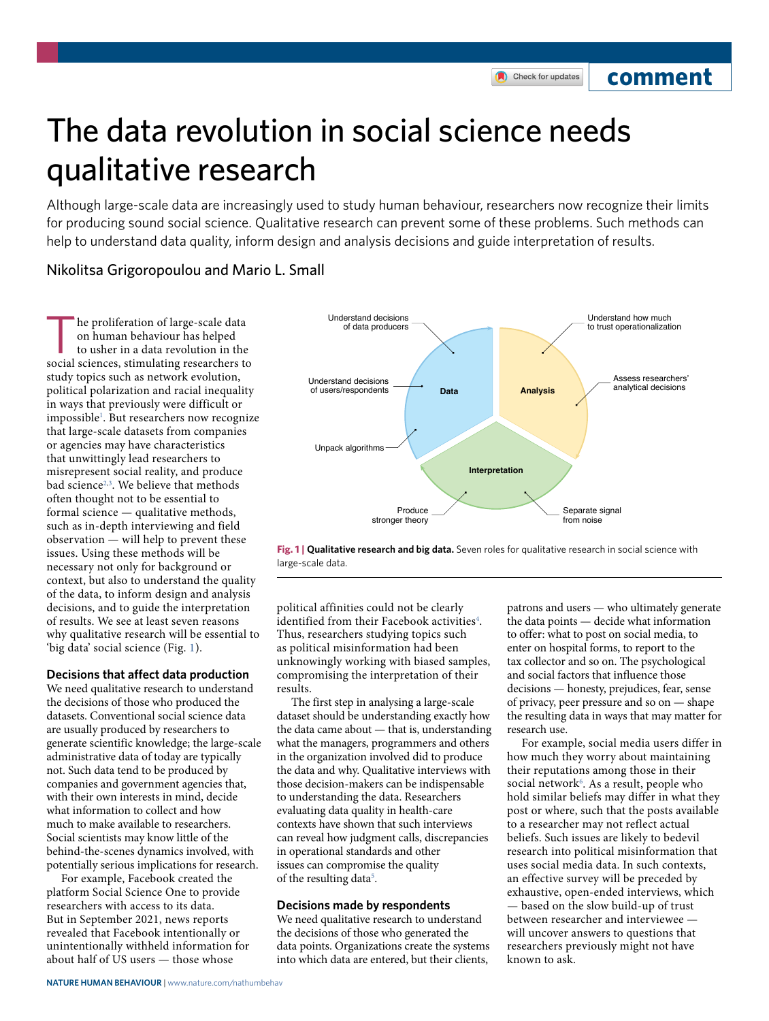## **comment**

# The data revolution in social science needs qualitative research

Although large-scale data are increasingly used to study human behaviour, researchers now recognize their limits for producing sound social science. Qualitative research can prevent some of these problems. Such methods can help to understand data quality, inform design and analysis decisions and guide interpretation of results.

### Nikolitsa Grigoropoulou and Mario L. Small

The proliferation of large-scale data<br>
on human behaviour has helped<br>
to usher in a data revolution in the<br>
social sciences stimulating researchers to on human behaviour has helped social sciences, stimulating researchers to study topics such as network evolution, political polarization and racial inequality in ways that previously were difficult or impossible<sup>1</sup>. But researchers now recognize that large-scale datasets from companies or agencies may have characteristics that unwittingly lead researchers to misrepresent social reality, and produce bad science<sup>[2,](#page-2-1)[3](#page-2-2)</sup>. We believe that methods often thought not to be essential to formal science — qualitative methods, such as in-depth interviewing and field observation — will help to prevent these issues. Using these methods will be necessary not only for background or context, but also to understand the quality of the data, to inform design and analysis decisions, and to guide the interpretation of results. We see at least seven reasons why qualitative research will be essential to 'big data' social science (Fig. [1](#page-0-0)).

#### **Decisions that afect data production**

We need qualitative research to understand the decisions of those who produced the datasets. Conventional social science data are usually produced by researchers to generate scientific knowledge; the large-scale administrative data of today are typically not. Such data tend to be produced by companies and government agencies that, with their own interests in mind, decide what information to collect and how much to make available to researchers. Social scientists may know little of the behind-the-scenes dynamics involved, with potentially serious implications for research.

For example, Facebook created the platform Social Science One to provide researchers with access to its data. But in September 2021, news reports revealed that Facebook intentionally or unintentionally withheld information for about half of US users — those whose



<span id="page-0-0"></span>

political affinities could not be clearly identified from their Facebook activities<sup>[4](#page-2-3)</sup>. Thus, researchers studying topics such as political misinformation had been unknowingly working with biased samples, compromising the interpretation of their results.

The first step in analysing a large-scale dataset should be understanding exactly how the data came about — that is, understanding what the managers, programmers and others in the organization involved did to produce the data and why. Qualitative interviews with those decision-makers can be indispensable to understanding the data. Researchers evaluating data quality in health-care contexts have shown that such interviews can reveal how judgment calls, discrepancies in operational standards and other issues can compromise the quality of the resulting data<sup>[5](#page-2-4)</sup>.

#### **Decisions made by respondents**

We need qualitative research to understand the decisions of those who generated the data points. Organizations create the systems into which data are entered, but their clients,

patrons and users — who ultimately generate the data points — decide what information to offer: what to post on social media, to enter on hospital forms, to report to the tax collector and so on. The psychological and social factors that influence those decisions — honesty, prejudices, fear, sense of privacy, peer pressure and so on — shape the resulting data in ways that may matter for research use.

For example, social media users differ in how much they worry about maintaining their reputations among those in their social network<sup>[6](#page-2-5)</sup>. As a result, people who hold similar beliefs may differ in what they post or where, such that the posts available to a researcher may not reflect actual beliefs. Such issues are likely to bedevil research into political misinformation that uses social media data. In such contexts, an effective survey will be preceded by exhaustive, open-ended interviews, which — based on the slow build-up of trust between researcher and interviewee will uncover answers to questions that researchers previously might not have known to ask.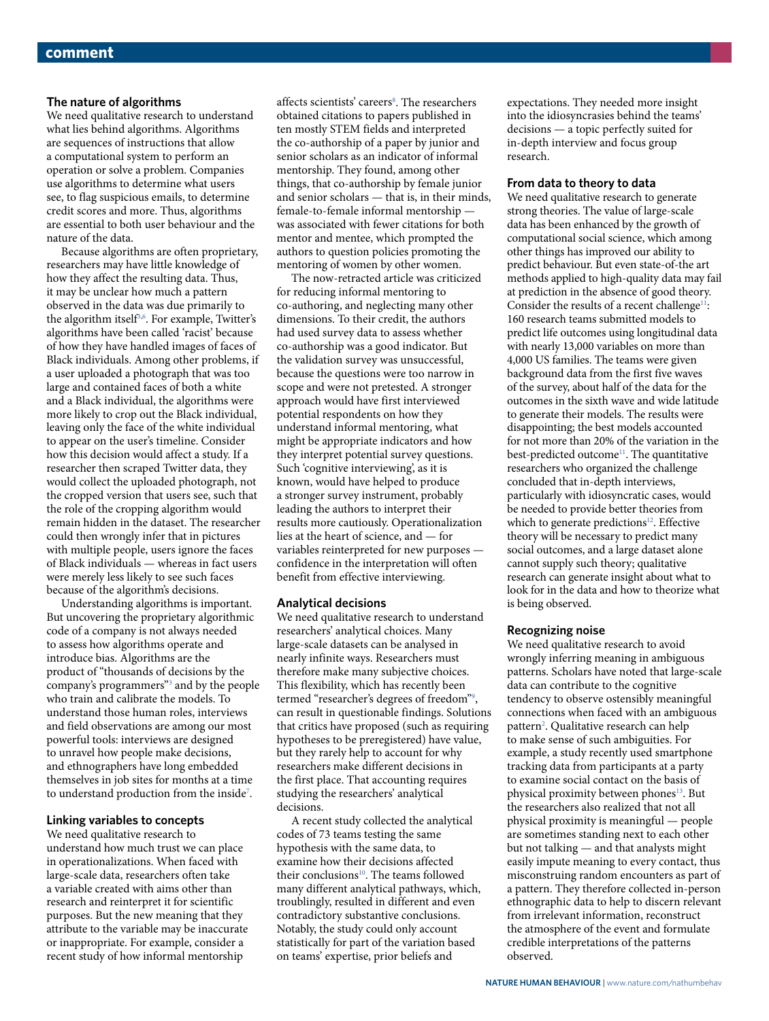#### **The nature of algorithms**

We need qualitative research to understand what lies behind algorithms. Algorithms are sequences of instructions that allow a computational system to perform an operation or solve a problem. Companies use algorithms to determine what users see, to flag suspicious emails, to determine credit scores and more. Thus, algorithms are essential to both user behaviour and the nature of the data.

Because algorithms are often proprietary, researchers may have little knowledge of how they affect the resulting data. Thus, it may be unclear how much a pattern observed in the data was due primarily to the algorithm itself<sup>3[,6](#page-2-5)</sup>. For example, Twitter's algorithms have been called 'racist' because of how they have handled images of faces of Black individuals. Among other problems, if a user uploaded a photograph that was too large and contained faces of both a white and a Black individual, the algorithms were more likely to crop out the Black individual, leaving only the face of the white individual to appear on the user's timeline. Consider how this decision would affect a study. If a researcher then scraped Twitter data, they would collect the uploaded photograph, not the cropped version that users see, such that the role of the cropping algorithm would remain hidden in the dataset. The researcher could then wrongly infer that in pictures with multiple people, users ignore the faces of Black individuals — whereas in fact users were merely less likely to see such faces because of the algorithm's decisions.

Understanding algorithms is important. But uncovering the proprietary algorithmic code of a company is not always needed to assess how algorithms operate and introduce bias. Algorithms are the product of "thousands of decisions by the company's programmers"[3](#page-2-2) and by the people who train and calibrate the models. To understand those human roles, interviews and field observations are among our most powerful tools: interviews are designed to unravel how people make decisions, and ethnographers have long embedded themselves in job sites for months at a time to understand production from the inside<sup>[7](#page-2-6)</sup>.

#### **Linking variables to concepts**

We need qualitative research to understand how much trust we can place in operationalizations. When faced with large-scale data, researchers often take a variable created with aims other than research and reinterpret it for scientific purposes. But the new meaning that they attribute to the variable may be inaccurate or inappropriate. For example, consider a recent study of how informal mentorship

affects scientists' careers<sup>[8](#page-2-7)</sup>. The researchers obtained citations to papers published in ten mostly STEM fields and interpreted the co-authorship of a paper by junior and senior scholars as an indicator of informal mentorship. They found, among other things, that co-authorship by female junior and senior scholars — that is, in their minds, female-to-female informal mentorship was associated with fewer citations for both mentor and mentee, which prompted the authors to question policies promoting the mentoring of women by other women.

The now-retracted article was criticized for reducing informal mentoring to co-authoring, and neglecting many other dimensions. To their credit, the authors had used survey data to assess whether co-authorship was a good indicator. But the validation survey was unsuccessful, because the questions were too narrow in scope and were not pretested. A stronger approach would have first interviewed potential respondents on how they understand informal mentoring, what might be appropriate indicators and how they interpret potential survey questions. Such 'cognitive interviewing', as it is known, would have helped to produce a stronger survey instrument, probably leading the authors to interpret their results more cautiously. Operationalization lies at the heart of science, and — for variables reinterpreted for new purposes confidence in the interpretation will often benefit from effective interviewing.

#### **Analytical decisions**

We need qualitative research to understand researchers' analytical choices. Many large-scale datasets can be analysed in nearly infinite ways. Researchers must therefore make many subjective choices. This flexibility, which has recently been termed "researcher's degrees of freedom["9](#page-2-8) , can result in questionable findings. Solutions that critics have proposed (such as requiring hypotheses to be preregistered) have value, but they rarely help to account for why researchers make different decisions in the first place. That accounting requires studying the researchers' analytical decisions.

A recent study collected the analytical codes of 73 teams testing the same hypothesis with the same data, to examine how their decisions affected their conclusions<sup>[10](#page-2-9)</sup>. The teams followed many different analytical pathways, which, troublingly, resulted in different and even contradictory substantive conclusions. Notably, the study could only account statistically for part of the variation based on teams' expertise, prior beliefs and

expectations. They needed more insight into the idiosyncrasies behind the teams' decisions — a topic perfectly suited for in-depth interview and focus group research.

#### **From data to theory to data**

We need qualitative research to generate strong theories. The value of large-scale data has been enhanced by the growth of computational social science, which among other things has improved our ability to predict behaviour. But even state-of-the art methods applied to high-quality data may fail at prediction in the absence of good theory. Consider the results of a recent challenge<sup>11</sup>: 160 research teams submitted models to predict life outcomes using longitudinal data with nearly 13,000 variables on more than 4,000 US families. The teams were given background data from the first five waves of the survey, about half of the data for the outcomes in the sixth wave and wide latitude to generate their models. The results were disappointing; the best models accounted for not more than 20% of the variation in the best-predicted outcome<sup>11</sup>. The quantitative researchers who organized the challenge concluded that in-depth interviews, particularly with idiosyncratic cases, would be needed to provide better theories from which to generate predictions<sup>12</sup>. Effective theory will be necessary to predict many social outcomes, and a large dataset alone cannot supply such theory; qualitative research can generate insight about what to look for in the data and how to theorize what is being observed.

#### **Recognizing noise**

We need qualitative research to avoid wrongly inferring meaning in ambiguous patterns. Scholars have noted that large-scale data can contribute to the cognitive tendency to observe ostensibly meaningful connections when faced with an ambiguous pattern<sup>[2](#page-2-1)</sup>. Qualitative research can help to make sense of such ambiguities. For example, a study recently used smartphone tracking data from participants at a party to examine social contact on the basis of physical proximity between phones<sup>[13](#page-2-12)</sup>. But the researchers also realized that not all physical proximity is meaningful — people are sometimes standing next to each other but not talking — and that analysts might easily impute meaning to every contact, thus misconstruing random encounters as part of a pattern. They therefore collected in-person ethnographic data to help to discern relevant from irrelevant information, reconstruct the atmosphere of the event and formulate credible interpretations of the patterns observed.